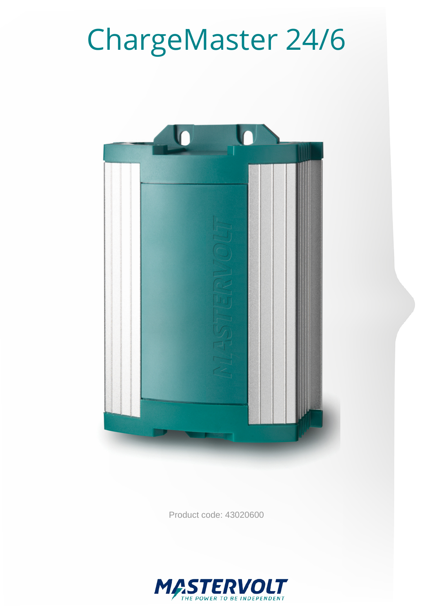# ChargeMaster 24/6



Product code: 43020600

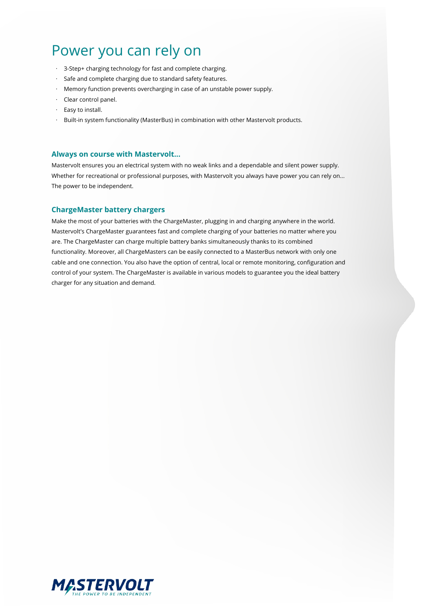## Power you can rely on

- · 3-Step+ charging technology for fast and complete charging.
- · Safe and complete charging due to standard safety features.
- · Memory function prevents overcharging in case of an unstable power supply.
- · Clear control panel.
- · Easy to install.
- · Built-in system functionality (MasterBus) in combination with other Mastervolt products.

#### **Always on course with Mastervolt...**

Mastervolt ensures you an electrical system with no weak links and a dependable and silent power supply. Whether for recreational or professional purposes, with Mastervolt you always have power you can rely on... The power to be independent.

#### **ChargeMaster battery chargers**

Make the most of your batteries with the ChargeMaster, plugging in and charging anywhere in the world. Mastervolt's ChargeMaster guarantees fast and complete charging of your batteries no matter where you are. The ChargeMaster can charge multiple battery banks simultaneously thanks to its combined functionality. Moreover, all ChargeMasters can be easily connected to a MasterBus network with only one cable and one connection. You also have the option of central, local or remote monitoring, configuration and control of your system. The ChargeMaster is available in various models to guarantee you the ideal battery charger for any situation and demand.